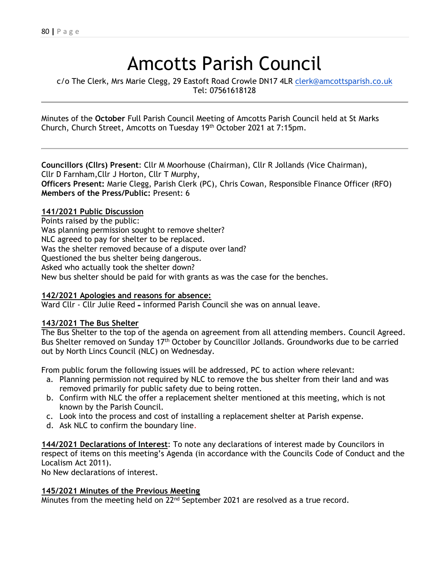# Amcotts Parish Council

c/o The Clerk, Mrs Marie Clegg, 29 Eastoft Road Crowle DN17 4LR [clerk@amcottsparish.co.uk](mailto:clerk@amcottsparish.co.uk) Tel: 07561618128

Minutes of the **October** Full Parish Council Meeting of Amcotts Parish Council held at St Marks Church, Church Street, Amcotts on Tuesday 19th October 2021 at 7:15pm.

**Councillors (Cllrs) Present**: Cllr M Moorhouse (Chairman), Cllr R Jollands (Vice Chairman), Cllr D Farnham,Cllr J Horton, Cllr T Murphy, **Officers Present:** Marie Clegg, Parish Clerk (PC), Chris Cowan, Responsible Finance Officer (RFO) **Members of the Press/Public:** Present: 6

#### **141/2021 Public Discussion**

Points raised by the public: Was planning permission sought to remove shelter? NLC agreed to pay for shelter to be replaced. Was the shelter removed because of a dispute over land? Questioned the bus shelter being dangerous. Asked who actually took the shelter down? New bus shelter should be paid for with grants as was the case for the benches.

## **142/2021 Apologies and reasons for absence:**

Ward Cllr - Cllr Julie Reed – informed Parish Council she was on annual leave.

#### **143/2021 The Bus Shelter**

The Bus Shelter to the top of the agenda on agreement from all attending members. Council Agreed. Bus Shelter removed on Sunday 17<sup>th</sup> October by Councillor Jollands. Groundworks due to be carried out by North Lincs Council (NLC) on Wednesday.

From public forum the following issues will be addressed, PC to action where relevant:

- a. Planning permission not required by NLC to remove the bus shelter from their land and was removed primarily for public safety due to being rotten.
- b. Confirm with NLC the offer a replacement shelter mentioned at this meeting, which is not known by the Parish Council.
- c. Look into the process and cost of installing a replacement shelter at Parish expense.
- d. Ask NLC to confirm the boundary line.

**144/2021 Declarations of Interest**: To note any declarations of interest made by Councilors in respect of items on this meeting's Agenda (in accordance with the Councils Code of Conduct and the Localism Act 2011).

No New declarations of interest.

#### **145/2021 Minutes of the Previous Meeting**

Minutes from the meeting held on 22<sup>nd</sup> September 2021 are resolved as a true record.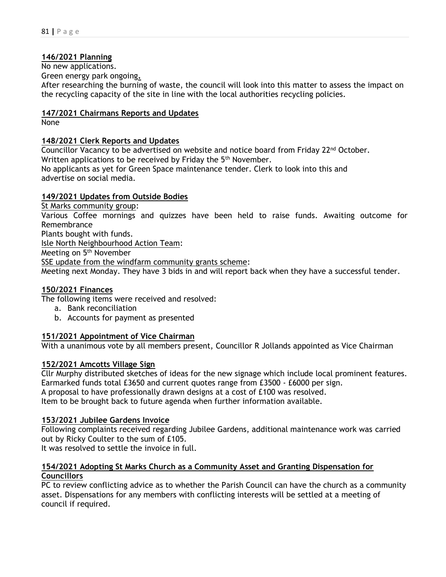## **146/2021 Planning**

No new applications.

Green energy park ongoing**.**

After researching the burning of waste, the council will look into this matter to assess the impact on the recycling capacity of the site in line with the local authorities recycling policies.

## **147/2021 Chairmans Reports and Updates**

None

# **148/2021 Clerk Reports and Updates**

Councillor Vacancy to be advertised on website and notice board from Friday 22nd October. Written applications to be received by Friday the 5<sup>th</sup> November. No applicants as yet for Green Space maintenance tender. Clerk to look into this and advertise on social media.

# **149/2021 Updates from Outside Bodies**

St Marks community group:

Various Coffee mornings and quizzes have been held to raise funds. Awaiting outcome for Remembrance

Plants bought with funds.

Isle North Neighbourhood Action Team:

Meeting on 5<sup>th</sup> November

SSE update from the windfarm community grants scheme:

Meeting next Monday. They have 3 bids in and will report back when they have a successful tender.

## **150/2021 Finances**

The following items were received and resolved:

- a. Bank reconciliation
- b. Accounts for payment as presented

# **151/2021 Appointment of Vice Chairman**

With a unanimous vote by all members present, Councillor R Jollands appointed as Vice Chairman

## **152/2021 Amcotts Village Sign**

Cllr Murphy distributed sketches of ideas for the new signage which include local prominent features. Earmarked funds total £3650 and current quotes range from £3500 - £6000 per sign. A proposal to have professionally drawn designs at a cost of £100 was resolved. Item to be brought back to future agenda when further information available.

## **153/2021 Jubilee Gardens Invoice**

Following complaints received regarding Jubilee Gardens, additional maintenance work was carried out by Ricky Coulter to the sum of £105.

It was resolved to settle the invoice in full.

## **154/2021 Adopting St Marks Church as a Community Asset and Granting Dispensation for Councillors**

PC to review conflicting advice as to whether the Parish Council can have the church as a community asset. Dispensations for any members with conflicting interests will be settled at a meeting of council if required.